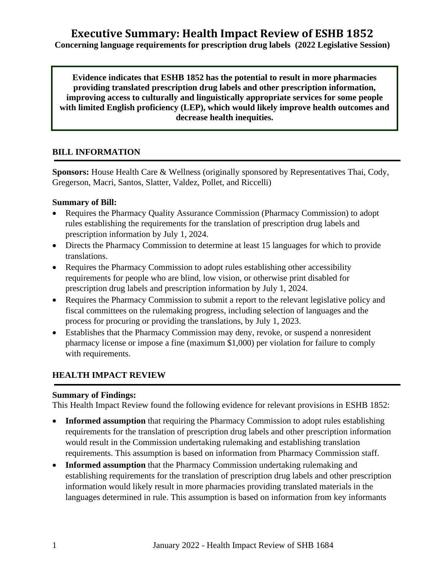# **Executive Summary: Health Impact Review of ESHB 1852**

**Concerning language requirements for prescription drug labels (2022 Legislative Session)**

**Evidence indicates that ESHB 1852 has the potential to result in more pharmacies providing translated prescription drug labels and other prescription information, improving access to culturally and linguistically appropriate services for some people with limited English proficiency (LEP), which would likely improve health outcomes and decrease health inequities.**

### **BILL INFORMATION**

**Sponsors:** House Health Care & Wellness (originally sponsored by Representatives Thai, Cody, Gregerson, Macri, Santos, Slatter, Valdez, Pollet, and Riccelli)

#### **Summary of Bill:**

- Requires the Pharmacy Quality Assurance Commission (Pharmacy Commission) to adopt rules establishing the requirements for the translation of prescription drug labels and prescription information by July 1, 2024.
- Directs the Pharmacy Commission to determine at least 15 languages for which to provide translations.
- Requires the Pharmacy Commission to adopt rules establishing other accessibility requirements for people who are blind, low vision, or otherwise print disabled for prescription drug labels and prescription information by July 1, 2024.
- Requires the Pharmacy Commission to submit a report to the relevant legislative policy and fiscal committees on the rulemaking progress, including selection of languages and the process for procuring or providing the translations, by July 1, 2023.
- Establishes that the Pharmacy Commission may deny, revoke, or suspend a nonresident pharmacy license or impose a fine (maximum \$1,000) per violation for failure to comply with requirements.

### **HEALTH IMPACT REVIEW**

#### **Summary of Findings:**

This Health Impact Review found the following evidence for relevant provisions in ESHB 1852:

- **Informed assumption** that requiring the Pharmacy Commission to adopt rules establishing requirements for the translation of prescription drug labels and other prescription information would result in the Commission undertaking rulemaking and establishing translation requirements. This assumption is based on information from Pharmacy Commission staff.
- **Informed assumption** that the Pharmacy Commission undertaking rulemaking and establishing requirements for the translation of prescription drug labels and other prescription information would likely result in more pharmacies providing translated materials in the languages determined in rule. This assumption is based on information from key informants